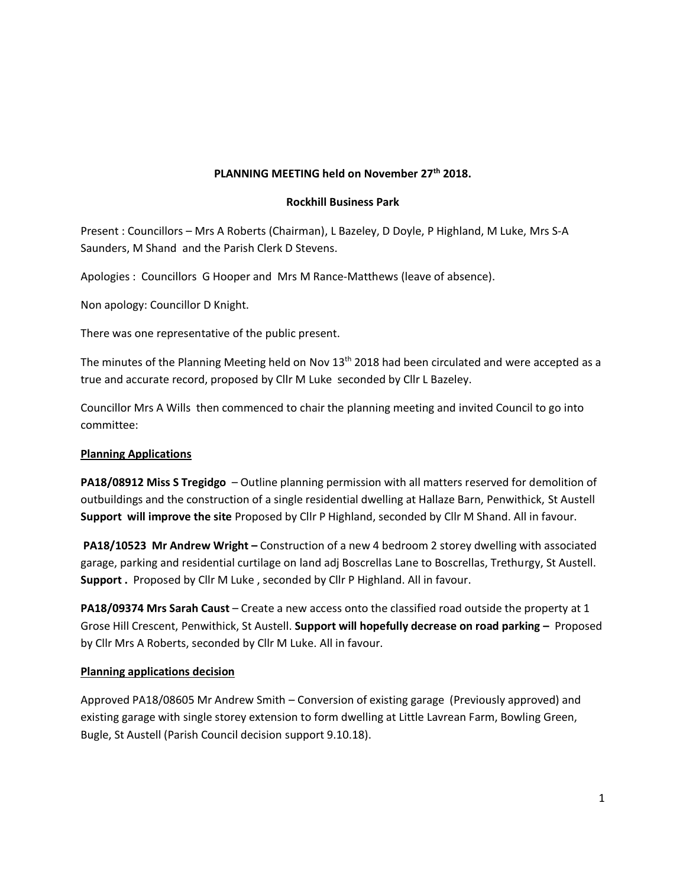# **PLANNING MEETING held on November 27th 2018.**

### **Rockhill Business Park**

Present : Councillors – Mrs A Roberts (Chairman), L Bazeley, D Doyle, P Highland, M Luke, Mrs S-A Saunders, M Shand and the Parish Clerk D Stevens.

Apologies : Councillors G Hooper and Mrs M Rance-Matthews (leave of absence).

Non apology: Councillor D Knight.

There was one representative of the public present.

The minutes of the Planning Meeting held on Nov  $13<sup>th</sup>$  2018 had been circulated and were accepted as a true and accurate record, proposed by Cllr M Luke seconded by Cllr L Bazeley.

Councillor Mrs A Wills then commenced to chair the planning meeting and invited Council to go into committee:

#### **Planning Applications**

**PA18/08912 Miss S Tregidgo** – Outline planning permission with all matters reserved for demolition of outbuildings and the construction of a single residential dwelling at Hallaze Barn, Penwithick, St Austell **Support will improve the site** Proposed by Cllr P Highland, seconded by Cllr M Shand. All in favour.

**PA18/10523 Mr Andrew Wright –** Construction of a new 4 bedroom 2 storey dwelling with associated garage, parking and residential curtilage on land adj Boscrellas Lane to Boscrellas, Trethurgy, St Austell. **Support .** Proposed by Cllr M Luke , seconded by Cllr P Highland. All in favour.

**PA18/09374 Mrs Sarah Caust** – Create a new access onto the classified road outside the property at 1 Grose Hill Crescent, Penwithick, St Austell. **Support will hopefully decrease on road parking –** Proposed by Cllr Mrs A Roberts, seconded by Cllr M Luke. All in favour.

#### **Planning applications decision**

Approved PA18/08605 Mr Andrew Smith – Conversion of existing garage (Previously approved) and existing garage with single storey extension to form dwelling at Little Lavrean Farm, Bowling Green, Bugle, St Austell (Parish Council decision support 9.10.18).